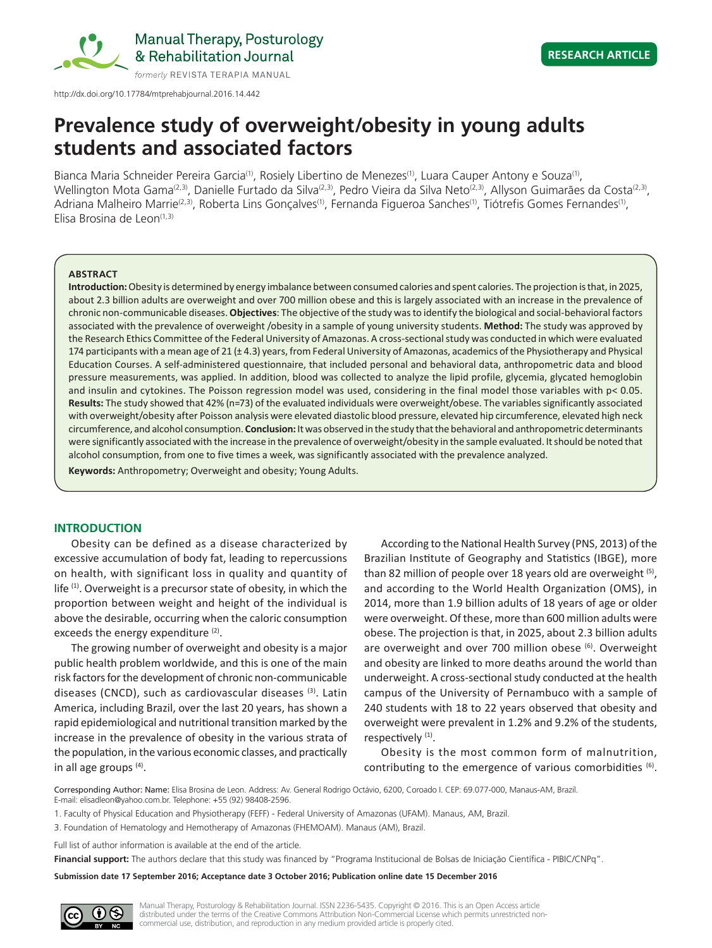

Manual Therapy, Posturology & Rehabilitation Journal

http://dx.doi.org/10.17784/mtprehabjournal.2016.14.442

# **Prevalence study of overweight/obesity in young adults students and associated factors**

Bianca Maria Schneider Pereira Garcia<sup>(1)</sup>, Rosiely Libertino de Menezes<sup>(1)</sup>, Luara Cauper Antony e Souza<sup>(1)</sup>, Wellington Mota Gama<sup>(2,3)</sup>, Danielle Furtado da Silva<sup>(2,3)</sup>, Pedro Vieira da Silva Neto<sup>(2,3)</sup>, Allyson Guimarães da Costa<sup>(2,3)</sup>, Adriana Malheiro Marrie<sup>(2,3)</sup>, Roberta Lins Gonçalves<sup>(1)</sup>, Fernanda Figueroa Sanches<sup>(1)</sup>, Tiótrefis Gomes Fernandes<sup>(1)</sup>, Elisa Brosina de Leon(1,3)

#### **ABSTRACT**

**Introduction:** Obesity is determined by energy imbalance between consumed calories and spent calories. The projection is that, in 2025, about 2.3 billion adults are overweight and over 700 million obese and this is largely associated with an increase in the prevalence of chronic non-communicable diseases. **Objectives**: The objective of the study was to identify the biological and social-behavioral factors associated with the prevalence of overweight /obesity in a sample of young university students. **Method:** The study was approved by the Research Ethics Committee of the Federal University of Amazonas. A cross-sectional study was conducted in which were evaluated 174 participants with a mean age of 21 (± 4.3) years, from Federal University of Amazonas, academics of the Physiotherapy and Physical Education Courses. A self-administered questionnaire, that included personal and behavioral data, anthropometric data and blood pressure measurements, was applied. In addition, blood was collected to analyze the lipid profile, glycemia, glycated hemoglobin and insulin and cytokines. The Poisson regression model was used, considering in the final model those variables with p< 0.05. **Results:** The study showed that 42% (n=73) of the evaluated individuals were overweight/obese. The variables significantly associated with overweight/obesity after Poisson analysis were elevated diastolic blood pressure, elevated hip circumference, elevated high neck circumference, and alcohol consumption. **Conclusion:** It was observed in the study that the behavioral and anthropometric determinants were significantly associated with the increase in the prevalence of overweight/obesity in the sample evaluated. It should be noted that alcohol consumption, from one to five times a week, was significantly associated with the prevalence analyzed.

**Keywords:** Anthropometry; Overweight and obesity; Young Adults.

## **INTRODUCTION**

Obesity can be defined as a disease characterized by excessive accumulation of body fat, leading to repercussions on health, with significant loss in quality and quantity of life (1). Overweight is a precursor state of obesity, in which the proportion between weight and height of the individual is above the desirable, occurring when the caloric consumption exceeds the energy expenditure (2).

The growing number of overweight and obesity is a major public health problem worldwide, and this is one of the main risk factors for the development of chronic non-communicable diseases (CNCD), such as cardiovascular diseases (3). Latin America, including Brazil, over the last 20 years, has shown a rapid epidemiological and nutritional transition marked by the increase in the prevalence of obesity in the various strata of the population, in the various economic classes, and practically in all age groups  $(4)$ .

According to the National Health Survey (PNS, 2013) of the Brazilian Institute of Geography and Statistics (IBGE), more than 82 million of people over 18 years old are overweight (5), and according to the World Health Organization (OMS), in 2014, more than 1.9 billion adults of 18 years of age or older were overweight. Of these, more than 600 million adults were obese. The projection is that, in 2025, about 2.3 billion adults are overweight and over 700 million obese  $(6)$ . Overweight and obesity are linked to more deaths around the world than underweight. A cross-sectional study conducted at the health campus of the University of Pernambuco with a sample of 240 students with 18 to 22 years observed that obesity and overweight were prevalent in 1.2% and 9.2% of the students, respectively<sup>(1)</sup>.

Obesity is the most common form of malnutrition, contributing to the emergence of various comorbidities  $(6)$ .

Corresponding Author: Name: Elisa Brosina de Leon. Address: Av. General Rodrigo Octávio, 6200, Coroado I. CEP: 69.077-000, Manaus-AM, Brazil. E-mail: elisadleon@yahoo.com.br. Telephone: +55 (92) 98408-2596.

1. Faculty of Physical Education and Physiotherapy (FEFF) - Federal University of Amazonas (UFAM). Manaus, AM, Brazil.

3. Foundation of Hematology and Hemotherapy of Amazonas (FHEMOAM). Manaus (AM), Brazil.

Full list of author information is available at the end of the article.

**Financial support:** The authors declare that this study was financed by "Programa Institucional de Bolsas de Iniciação Científica - PIBIC/CNPq".

**Submission date 17 September 2016; Acceptance date 3 October 2016; Publication online date 15 December 2016**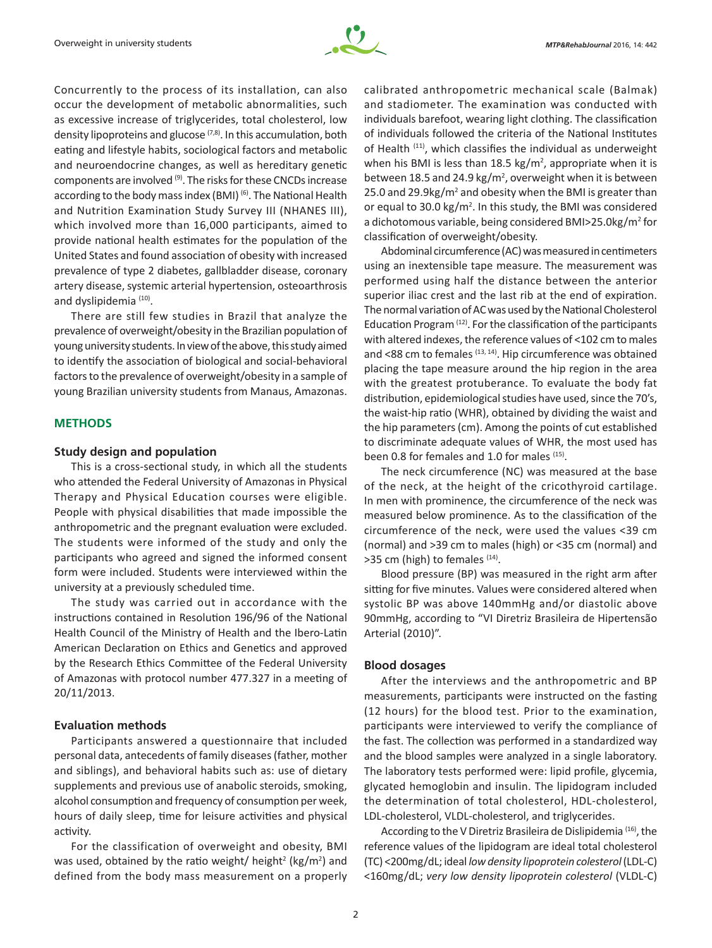

Concurrently to the process of its installation, can also occur the development of metabolic abnormalities, such as excessive increase of triglycerides, total cholesterol, low density lipoproteins and glucose  $(7,8)$ . In this accumulation, both eating and lifestyle habits, sociological factors and metabolic and neuroendocrine changes, as well as hereditary genetic components are involved (9). The risks for these CNCDs increase according to the body mass index (BMI)<sup>(6)</sup>. The National Health and Nutrition Examination Study Survey III (NHANES III), which involved more than 16,000 participants, aimed to provide national health estimates for the population of the United States and found association of obesity with increased prevalence of type 2 diabetes, gallbladder disease, coronary artery disease, systemic arterial hypertension, osteoarthrosis and dyslipidemia<sup>(10)</sup>.

There are still few studies in Brazil that analyze the prevalence of overweight/obesity in the Brazilian population of young university students. In view of the above, this study aimed to identify the association of biological and social-behavioral factors to the prevalence of overweight/obesity in a sample of young Brazilian university students from Manaus, Amazonas.

# **METHODS**

### **Study design and population**

This is a cross-sectional study, in which all the students who attended the Federal University of Amazonas in Physical Therapy and Physical Education courses were eligible. People with physical disabilities that made impossible the anthropometric and the pregnant evaluation were excluded. The students were informed of the study and only the participants who agreed and signed the informed consent form were included. Students were interviewed within the university at a previously scheduled time.

The study was carried out in accordance with the instructions contained in Resolution 196/96 of the National Health Council of the Ministry of Health and the Ibero-Latin American Declaration on Ethics and Genetics and approved by the Research Ethics Committee of the Federal University of Amazonas with protocol number 477.327 in a meeting of 20/11/2013.

## **Evaluation methods**

Participants answered a questionnaire that included personal data, antecedents of family diseases (father, mother and siblings), and behavioral habits such as: use of dietary supplements and previous use of anabolic steroids, smoking, alcohol consumption and frequency of consumption per week, hours of daily sleep, time for leisure activities and physical activity.

For the classification of overweight and obesity, BMI was used, obtained by the ratio weight/ height<sup>2</sup> (kg/m<sup>2</sup>) and defined from the body mass measurement on a properly

calibrated anthropometric mechanical scale (Balmak) and stadiometer. The examination was conducted with individuals barefoot, wearing light clothing. The classification of individuals followed the criteria of the National Institutes of Health (11), which classifies the individual as underweight when his BMI is less than  $18.5 \text{ kg/m}^2$ , appropriate when it is between 18.5 and 24.9  $kg/m^2$ , overweight when it is between 25.0 and 29.9kg/ $m^2$  and obesity when the BMI is greater than or equal to 30.0  $\text{kg/m}^2$ . In this study, the BMI was considered a dichotomous variable, being considered BMI>25.0kg/m<sup>2</sup> for classification of overweight/obesity.

Abdominal circumference (AC) was measured in centimeters using an inextensible tape measure. The measurement was performed using half the distance between the anterior superior iliac crest and the last rib at the end of expiration. The normal variation of AC was used by the National Cholesterol Education Program  $(12)$ . For the classification of the participants with altered indexes, the reference values of <102 cm to males and <88 cm to females (13, 14). Hip circumference was obtained placing the tape measure around the hip region in the area with the greatest protuberance. To evaluate the body fat distribution, epidemiological studies have used, since the 70's, the waist-hip ratio (WHR), obtained by dividing the waist and the hip parameters (cm). Among the points of cut established to discriminate adequate values of WHR, the most used has been 0.8 for females and 1.0 for males (15).

The neck circumference (NC) was measured at the base of the neck, at the height of the cricothyroid cartilage. In men with prominence, the circumference of the neck was measured below prominence. As to the classification of the circumference of the neck, were used the values <39 cm (normal) and >39 cm to males (high) or <35 cm (normal) and  $>$ 35 cm (high) to females  $(14)$ .

Blood pressure (BP) was measured in the right arm after sitting for five minutes. Values were considered altered when systolic BP was above 140mmHg and/or diastolic above 90mmHg, according to "VI Diretriz Brasileira de Hipertensão Arterial (2010)".

## **Blood dosages**

After the interviews and the anthropometric and BP measurements, participants were instructed on the fasting (12 hours) for the blood test. Prior to the examination, participants were interviewed to verify the compliance of the fast. The collection was performed in a standardized way and the blood samples were analyzed in a single laboratory. The laboratory tests performed were: lipid profile, glycemia, glycated hemoglobin and insulin. The lipidogram included the determination of total cholesterol, HDL-cholesterol, LDL-cholesterol, VLDL-cholesterol, and triglycerides.

According to the V Diretriz Brasileira de Dislipidemia<sup>(16)</sup>, the reference values of the lipidogram are ideal total cholesterol (TC) <200mg/dL; ideal *low density lipoprotein colesterol* (LDL-C) <160mg/dL; *very low density lipoprotein colesterol* (VLDL-C)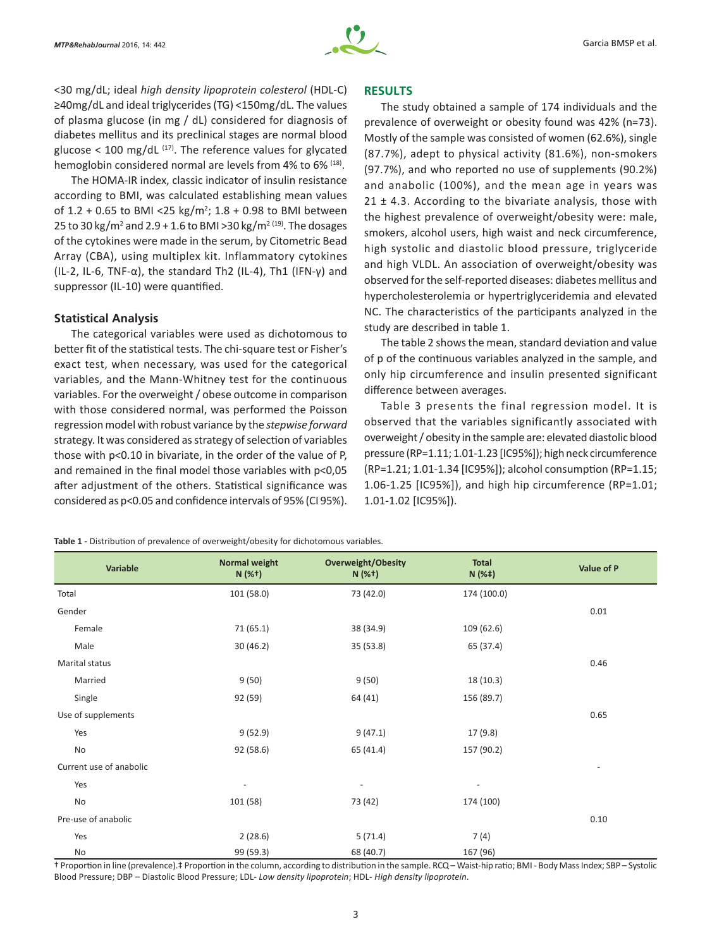

<30 mg/dL; ideal *high density lipoprotein colesterol* (HDL-C) ≥40mg/dL and ideal triglycerides (TG) <150mg/dL. The values of plasma glucose (in mg / dL) considered for diagnosis of diabetes mellitus and its preclinical stages are normal blood glucose < 100 mg/dL  $(17)$ . The reference values for glycated hemoglobin considered normal are levels from 4% to 6% (18).

The HOMA-IR index, classic indicator of insulin resistance according to BMI, was calculated establishing mean values of  $1.2 + 0.65$  to BMI <25 kg/m<sup>2</sup>;  $1.8 + 0.98$  to BMI between 25 to 30 kg/m<sup>2</sup> and 2.9 + 1.6 to BMI >30 kg/m<sup>2 (19)</sup>. The dosages of the cytokines were made in the serum, by Citometric Bead Array (CBA), using multiplex kit. Inflammatory cytokines (IL-2, IL-6, TNF- $\alpha$ ), the standard Th2 (IL-4), Th1 (IFN-y) and suppressor (IL-10) were quantified.

#### **Statistical Analysis**

The categorical variables were used as dichotomous to better fit of the statistical tests. The chi-square test or Fisher's exact test, when necessary, was used for the categorical variables, and the Mann-Whitney test for the continuous variables. For the overweight / obese outcome in comparison with those considered normal, was performed the Poisson regression model with robust variance by the *stepwise forward* strategy. It was considered as strategy of selection of variables those with p<0.10 in bivariate, in the order of the value of P, and remained in the final model those variables with p<0,05 after adjustment of the others. Statistical significance was considered as p<0.05 and confidence intervals of 95% (CI 95%).

## **RESULTS**

The study obtained a sample of 174 individuals and the prevalence of overweight or obesity found was 42% (n=73). Mostly of the sample was consisted of women (62.6%), single (87.7%), adept to physical activity (81.6%), non‑smokers (97.7%), and who reported no use of supplements (90.2%) and anabolic (100%), and the mean age in years was  $21 \pm 4.3$ . According to the bivariate analysis, those with the highest prevalence of overweight/obesity were: male, smokers, alcohol users, high waist and neck circumference, high systolic and diastolic blood pressure, triglyceride and high VLDL. An association of overweight/obesity was observed for the self‑reported diseases: diabetes mellitus and hypercholesterolemia or hypertriglyceridemia and elevated NC. The characteristics of the participants analyzed in the study are described in table 1.

The table 2 shows the mean, standard deviation and value of p of the continuous variables analyzed in the sample, and only hip circumference and insulin presented significant difference between averages.

Table 3 presents the final regression model. It is observed that the variables significantly associated with overweight / obesity in the sample are: elevated diastolic blood pressure (RP=1.11; 1.01-1.23 [IC95%]); high neck circumference (RP=1.21; 1.01‑1.34 [IC95%]); alcohol consumption (RP=1.15; 1.06-1.25 [IC95%]), and high hip circumference (RP=1.01; 1.01-1.02 [IC95%]).

**Table 1 -** Distribution of prevalence of overweight/obesity for dichotomous variables.

| Variable                | <b>Normal weight</b><br>$N(%^+)$ | <b>Overweight/Obesity</b><br>$N(%^+)$ | <b>Total</b><br>$N(%^+)$ | Value of P               |
|-------------------------|----------------------------------|---------------------------------------|--------------------------|--------------------------|
| Total                   | 101 (58.0)                       | 73 (42.0)                             | 174 (100.0)              |                          |
| Gender                  |                                  |                                       |                          | 0.01                     |
| Female                  | 71(65.1)                         | 38 (34.9)                             | 109(62.6)                |                          |
| Male                    | 30(46.2)                         | 35(53.8)                              | 65 (37.4)                |                          |
| Marital status          |                                  |                                       |                          | 0.46                     |
| Married                 | 9(50)                            | 9(50)                                 | 18 (10.3)                |                          |
| Single                  | 92 (59)                          | 64 (41)                               | 156 (89.7)               |                          |
| Use of supplements      |                                  |                                       |                          | 0.65                     |
| Yes                     | 9(52.9)                          | 9(47.1)                               | 17 (9.8)                 |                          |
| No                      | 92 (58.6)                        | 65 (41.4)                             | 157 (90.2)               |                          |
| Current use of anabolic |                                  |                                       |                          | $\overline{\phantom{a}}$ |
| Yes                     | ٠                                | $\overline{a}$                        | $\overline{\phantom{a}}$ |                          |
| No                      | 101 (58)                         | 73 (42)                               | 174 (100)                |                          |
| Pre-use of anabolic     |                                  |                                       |                          | 0.10                     |
| Yes                     | 2(28.6)                          | 5(71.4)                               | 7(4)                     |                          |
| No                      | 99 (59.3)                        | 68 (40.7)                             | 167 (96)                 |                          |

† Proportion in line (prevalence).‡ Proportion in the column, according to distribution in the sample. RCQ – Waist-hip ratio; BMI - Body Mass Index; SBP – Systolic Blood Pressure; DBP – Diastolic Blood Pressure; LDL- *Low density lipoprotein*; HDL- *High density lipoprotein*.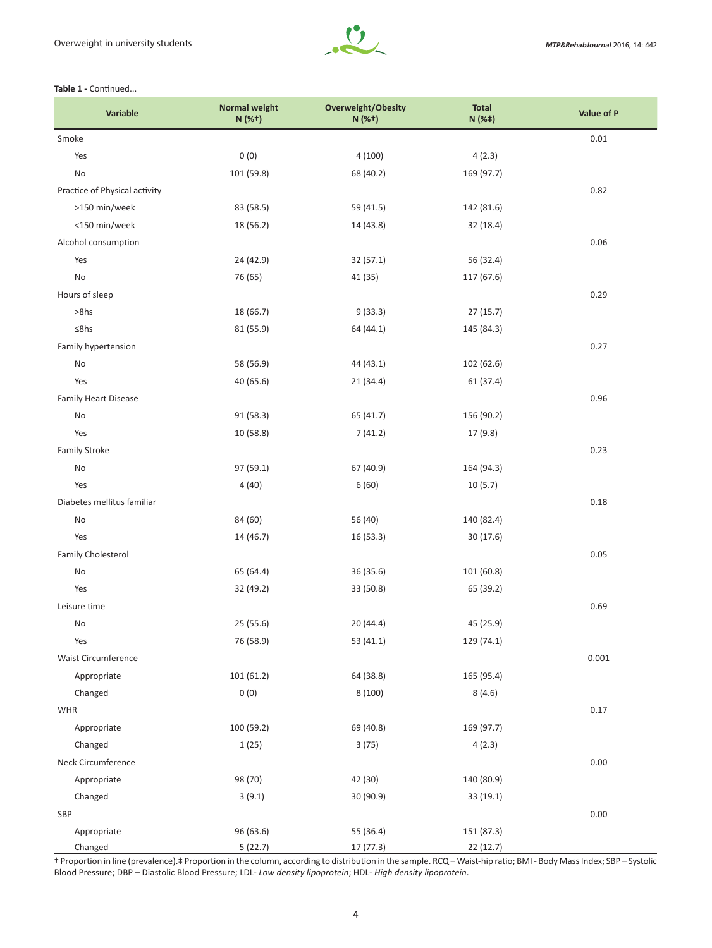

#### Table 1 - Continued...

| Variable                      | <b>Normal weight</b><br>N (%+) | Overweight/Obesity<br>N (%+) | <b>Total</b><br>N (%‡) | Value of P |
|-------------------------------|--------------------------------|------------------------------|------------------------|------------|
| Smoke                         |                                |                              |                        | 0.01       |
| Yes                           | 0(0)                           | 4(100)                       | 4(2.3)                 |            |
| No                            | 101 (59.8)                     | 68 (40.2)                    | 169 (97.7)             |            |
| Practice of Physical activity |                                |                              |                        | 0.82       |
| >150 min/week                 | 83 (58.5)                      | 59 (41.5)                    | 142 (81.6)             |            |
| <150 min/week                 | 18 (56.2)                      | 14 (43.8)                    | 32(18.4)               |            |
| Alcohol consumption           |                                |                              |                        | 0.06       |
| Yes                           | 24 (42.9)                      | 32(57.1)                     | 56 (32.4)              |            |
| No                            | 76 (65)                        | 41 (35)                      | 117 (67.6)             |            |
| Hours of sleep                |                                |                              |                        | 0.29       |
| $>8$ hs                       | 18 (66.7)                      | 9(33.3)                      | 27(15.7)               |            |
| ≤8hs                          | 81 (55.9)                      | 64 (44.1)                    | 145 (84.3)             |            |
| Family hypertension           |                                |                              |                        | 0.27       |
| No                            | 58 (56.9)                      | 44 (43.1)                    | 102 (62.6)             |            |
| Yes                           | 40 (65.6)                      | 21(34.4)                     | 61 (37.4)              |            |
| <b>Family Heart Disease</b>   |                                |                              |                        | 0.96       |
| No                            | 91(58.3)                       | 65 (41.7)                    | 156 (90.2)             |            |
| Yes                           | 10 (58.8)                      | 7(41.2)                      | 17 (9.8)               |            |
| <b>Family Stroke</b>          |                                |                              |                        | 0.23       |
| No                            | 97 (59.1)                      | 67 (40.9)                    | 164 (94.3)             |            |
| Yes                           | 4(40)                          | 6(60)                        | 10(5.7)                |            |
| Diabetes mellitus familiar    |                                |                              |                        | 0.18       |
| No                            | 84 (60)                        | 56 (40)                      | 140 (82.4)             |            |
| Yes                           | 14 (46.7)                      | 16 (53.3)                    | 30(17.6)               |            |
| Family Cholesterol            |                                |                              |                        | 0.05       |
| No                            | 65 (64.4)                      | 36 (35.6)                    | 101 (60.8)             |            |
| Yes                           | 32 (49.2)                      | 33 (50.8)                    | 65 (39.2)              |            |
| Leisure time                  |                                |                              |                        | 0.69       |
| No                            | 25 (55.6)                      | 20 (44.4)                    | 45 (25.9)              |            |
| Yes                           | 76 (58.9)                      | 53 (41.1)                    | 129 (74.1)             |            |
| <b>Waist Circumference</b>    |                                |                              |                        | 0.001      |
| Appropriate                   | 101(61.2)                      | 64 (38.8)                    | 165 (95.4)             |            |
| Changed                       | 0(0)                           | 8 (100)                      | 8(4.6)                 |            |
| <b>WHR</b>                    |                                |                              |                        | 0.17       |
| Appropriate                   | 100 (59.2)                     | 69 (40.8)                    | 169 (97.7)             |            |
| Changed                       | 1(25)                          | 3(75)                        | 4(2.3)                 |            |
| Neck Circumference            |                                |                              |                        | 0.00       |
| Appropriate                   | 98 (70)                        | 42 (30)                      | 140 (80.9)             |            |
| Changed                       | 3(9.1)                         | 30 (90.9)                    | 33(19.1)               |            |
| SBP                           |                                |                              |                        | 0.00       |
| Appropriate                   | 96 (63.6)                      | 55 (36.4)                    | 151 (87.3)             |            |
| Changed                       | 5(22.7)                        | 17 (77.3)                    | 22 (12.7)              |            |

† Proportion in line (prevalence).‡ Proportion in the column, according to distribution in the sample. RCQ – Waist-hip ratio; BMI - Body Mass Index; SBP – Systolic Blood Pressure; DBP – Diastolic Blood Pressure; LDL- *Low density lipoprotein*; HDL- *High density lipoprotein*.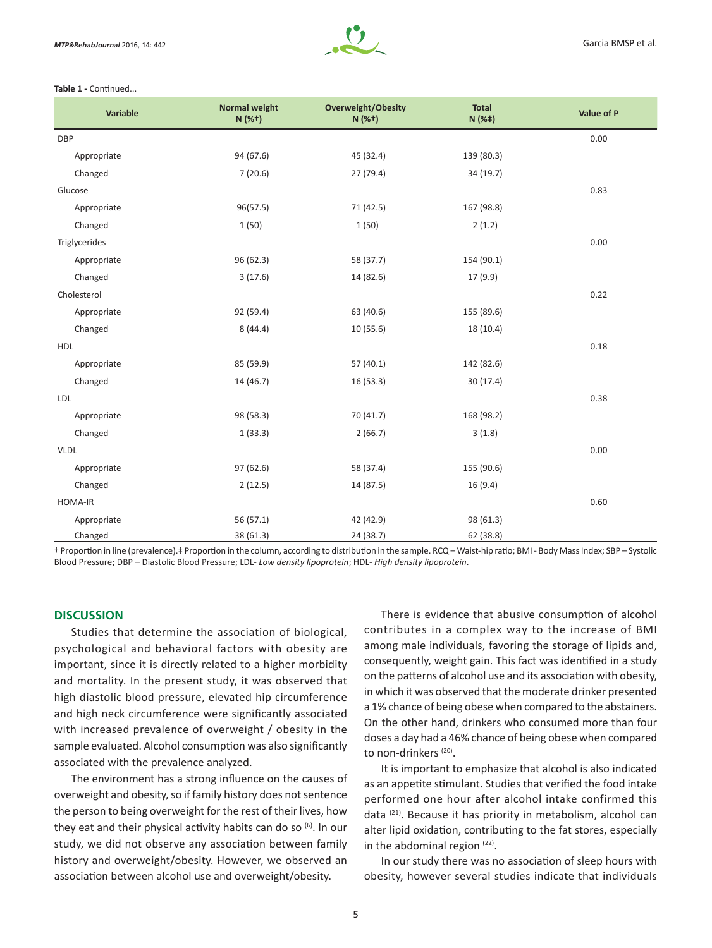

#### Table 1 - Continued...

| Variable      | <b>Normal weight</b><br>N (%+) | Overweight/Obesity<br>$N(%^+)$ | <b>Total</b><br>N(% <sup>‡</sup> ) | Value of P |
|---------------|--------------------------------|--------------------------------|------------------------------------|------------|
| <b>DBP</b>    |                                |                                |                                    | 0.00       |
| Appropriate   | 94 (67.6)                      | 45 (32.4)                      | 139 (80.3)                         |            |
| Changed       | 7(20.6)                        | 27 (79.4)                      | 34 (19.7)                          |            |
| Glucose       |                                |                                |                                    | 0.83       |
| Appropriate   | 96(57.5)                       | 71 (42.5)                      | 167 (98.8)                         |            |
| Changed       | 1(50)                          | 1(50)                          | 2(1.2)                             |            |
| Triglycerides |                                |                                |                                    | 0.00       |
| Appropriate   | 96 (62.3)                      | 58 (37.7)                      | 154 (90.1)                         |            |
| Changed       | 3(17.6)                        | 14 (82.6)                      | 17 (9.9)                           |            |
| Cholesterol   |                                |                                |                                    | 0.22       |
| Appropriate   | 92 (59.4)                      | 63 (40.6)                      | 155 (89.6)                         |            |
| Changed       | 8(44.4)                        | 10 (55.6)                      | 18 (10.4)                          |            |
| HDL           |                                |                                |                                    | 0.18       |
| Appropriate   | 85 (59.9)                      | 57(40.1)                       | 142 (82.6)                         |            |
| Changed       | 14 (46.7)                      | 16(53.3)                       | 30(17.4)                           |            |
| LDL           |                                |                                |                                    | 0.38       |
| Appropriate   | 98 (58.3)                      | 70 (41.7)                      | 168 (98.2)                         |            |
| Changed       | 1(33.3)                        | 2(66.7)                        | 3(1.8)                             |            |
| <b>VLDL</b>   |                                |                                |                                    | 0.00       |
| Appropriate   | 97 (62.6)                      | 58 (37.4)                      | 155 (90.6)                         |            |
| Changed       | 2(12.5)                        | 14 (87.5)                      | 16 (9.4)                           |            |
| HOMA-IR       |                                |                                |                                    | 0.60       |
| Appropriate   | 56(57.1)                       | 42 (42.9)                      | 98 (61.3)                          |            |
| Changed       | 38 (61.3)                      | 24 (38.7)                      | 62 (38.8)                          |            |

† Proportion in line (prevalence).‡ Proportion in the column, according to distribution in the sample. RCQ – Waist-hip ratio; BMI - Body Mass Index; SBP – Systolic Blood Pressure; DBP – Diastolic Blood Pressure; LDL- *Low density lipoprotein*; HDL- *High density lipoprotein*.

#### **DISCUSSION**

Studies that determine the association of biological, psychological and behavioral factors with obesity are important, since it is directly related to a higher morbidity and mortality. In the present study, it was observed that high diastolic blood pressure, elevated hip circumference and high neck circumference were significantly associated with increased prevalence of overweight / obesity in the sample evaluated. Alcohol consumption was also significantly associated with the prevalence analyzed.

The environment has a strong influence on the causes of overweight and obesity, so if family history does not sentence the person to being overweight for the rest of their lives, how they eat and their physical activity habits can do so (6). In our study, we did not observe any association between family history and overweight/obesity. However, we observed an association between alcohol use and overweight/obesity.

There is evidence that abusive consumption of alcohol contributes in a complex way to the increase of BMI among male individuals, favoring the storage of lipids and, consequently, weight gain. This fact was identified in a study on the patterns of alcohol use and its association with obesity, in which it was observed that the moderate drinker presented a 1% chance of being obese when compared to the abstainers. On the other hand, drinkers who consumed more than four doses a day had a 46% chance of being obese when compared to non-drinkers (20).

It is important to emphasize that alcohol is also indicated as an appetite stimulant. Studies that verified the food intake performed one hour after alcohol intake confirmed this data (21). Because it has priority in metabolism, alcohol can alter lipid oxidation, contributing to the fat stores, especially in the abdominal region  $(22)$ .

In our study there was no association of sleep hours with obesity, however several studies indicate that individuals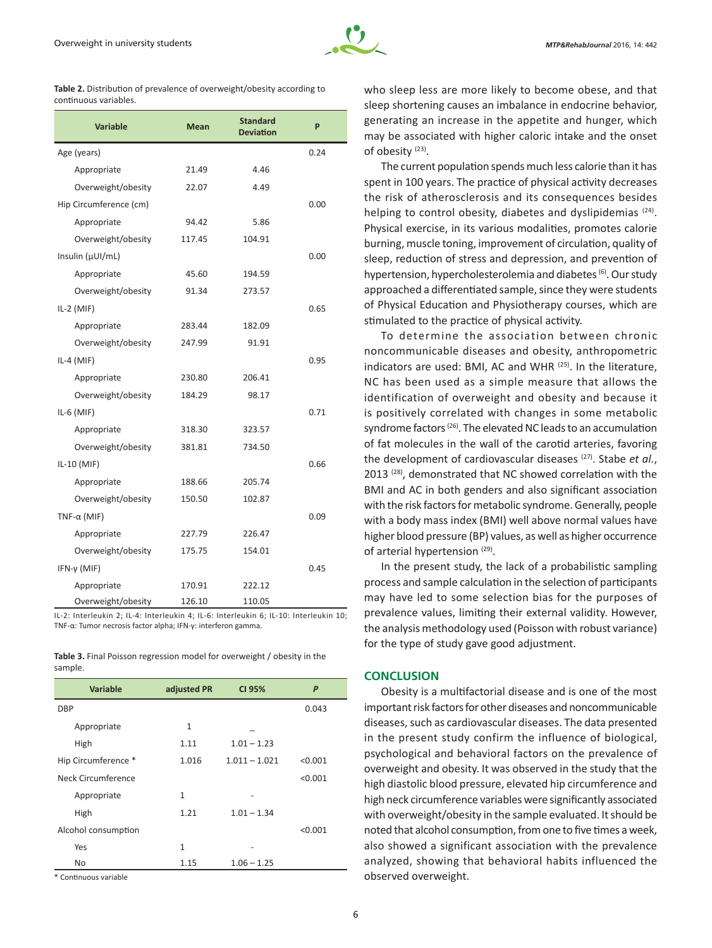

| MTP&RehabJournal 2016, 14: 442 |  |  |  |
|--------------------------------|--|--|--|
|--------------------------------|--|--|--|

|                       | Table 2. Distribution of prevalence of overweight/obesity according to |
|-----------------------|------------------------------------------------------------------------|
| continuous variables. |                                                                        |

| <b>Variable</b>        | <b>Mean</b> | <b>Standard</b><br><b>Deviation</b> | P    |
|------------------------|-------------|-------------------------------------|------|
| Age (years)            |             |                                     | 0.24 |
| Appropriate            | 21.49       | 4.46                                |      |
| Overweight/obesity     | 22.07       | 4.49                                |      |
| Hip Circumference (cm) |             |                                     | 0.00 |
| Appropriate            | 94.42       | 5.86                                |      |
| Overweight/obesity     | 117.45      | 104.91                              |      |
| Insulin (µUI/mL)       |             |                                     | 0.00 |
| Appropriate            | 45.60       | 194.59                              |      |
| Overweight/obesity     | 91.34       | 273.57                              |      |
| $IL-2$ (MIF)           |             |                                     | 0.65 |
| Appropriate            | 283.44      | 182.09                              |      |
| Overweight/obesity     | 247.99      | 91.91                               |      |
| $IL-4$ (MIF)           |             |                                     | 0.95 |
| Appropriate            | 230.80      | 206.41                              |      |
| Overweight/obesity     | 184.29      | 98.17                               |      |
| IL-6 $(MIF)$           |             |                                     | 0.71 |
| Appropriate            | 318.30      | 323.57                              |      |
| Overweight/obesity     | 381.81      | 734.50                              |      |
| IL-10 (MIF)            |             |                                     | 0.66 |
| Appropriate            | 188.66      | 205.74                              |      |
| Overweight/obesity     | 150.50      | 102.87                              |      |
| TNF- $\alpha$ (MIF)    |             |                                     | 0.09 |
| Appropriate            | 227.79      | 226.47                              |      |
| Overweight/obesity     | 175.75      | 154.01                              |      |
| IFN- $v$ (MIF)         |             |                                     | 0.45 |
| Appropriate            | 170.91      | 222.12                              |      |
| Overweight/obesity     | 126.10      | 110.05                              |      |

IL-2: Interleukin 2; IL-4: Interleukin 4; IL-6: Interleukin 6; IL-10: Interleukin 10; TNF-α: Tumor necrosis factor alpha; IFN-γ: interferon gamma.

**Table 3.** Final Poisson regression model for overweight / obesity in the sample.

| <b>Variable</b>     | adjusted PR  | CI 95%          | P       |
|---------------------|--------------|-----------------|---------|
| <b>DBP</b>          |              |                 | 0.043   |
| Appropriate         | $\mathbf{1}$ |                 |         |
| High                | 1.11         | $1.01 - 1.23$   |         |
| Hip Circumference * | 1.016        | $1.011 - 1.021$ | < 0.001 |
| Neck Circumference  |              |                 | < 0.001 |
| Appropriate         | $\mathbf{1}$ | ٠               |         |
| High                | 1.21         | $1.01 - 1.34$   |         |
| Alcohol consumption |              |                 | < 0.001 |
| Yes                 | 1            | -               |         |
| No                  | 1.15         | $1.06 - 1.25$   |         |

\* Continuous variable

who sleep less are more likely to become obese, and that sleep shortening causes an imbalance in endocrine behavior, generating an increase in the appetite and hunger, which may be associated with higher caloric intake and the onset of obesity (23).

The current population spends much less calorie than it has spent in 100 years. The practice of physical activity decreases the risk of atherosclerosis and its consequences besides helping to control obesity, diabetes and dyslipidemias <sup>(24)</sup>. Physical exercise, in its various modalities, promotes calorie burning, muscle toning, improvement of circulation, quality of sleep, reduction of stress and depression, and prevention of hypertension, hypercholesterolemia and diabetes <sup>(6)</sup>. Our study approached a differentiated sample, since they were students of Physical Education and Physiotherapy courses, which are stimulated to the practice of physical activity.

To determine the association between chronic noncommunicable diseases and obesity, anthropometric indicators are used: BMI, AC and WHR (25). In the literature, NC has been used as a simple measure that allows the identification of overweight and obesity and because it is positively correlated with changes in some metabolic syndrome factors<sup>(26)</sup>. The elevated NC leads to an accumulation of fat molecules in the wall of the carotid arteries, favoring the development of cardiovascular diseases (27). Stabe *et al.*, 2013<sup>(28)</sup>, demonstrated that NC showed correlation with the BMI and AC in both genders and also significant association with the risk factors for metabolic syndrome. Generally, people with a body mass index (BMI) well above normal values have higher blood pressure (BP) values, as well as higher occurrence of arterial hypertension (29).

In the present study, the lack of a probabilistic sampling process and sample calculation in the selection of participants may have led to some selection bias for the purposes of prevalence values, limiting their external validity. However, the analysis methodology used (Poisson with robust variance) for the type of study gave good adjustment.

## **CONCLUSION**

Obesity is a multifactorial disease and is one of the most important risk factors for other diseases and noncommunicable diseases, such as cardiovascular diseases. The data presented in the present study confirm the influence of biological, psychological and behavioral factors on the prevalence of overweight and obesity. It was observed in the study that the high diastolic blood pressure, elevated hip circumference and high neck circumference variables were significantly associated with overweight/obesity in the sample evaluated. It should be noted that alcohol consumption, from one to five times a week, also showed a significant association with the prevalence analyzed, showing that behavioral habits influenced the observed overweight.